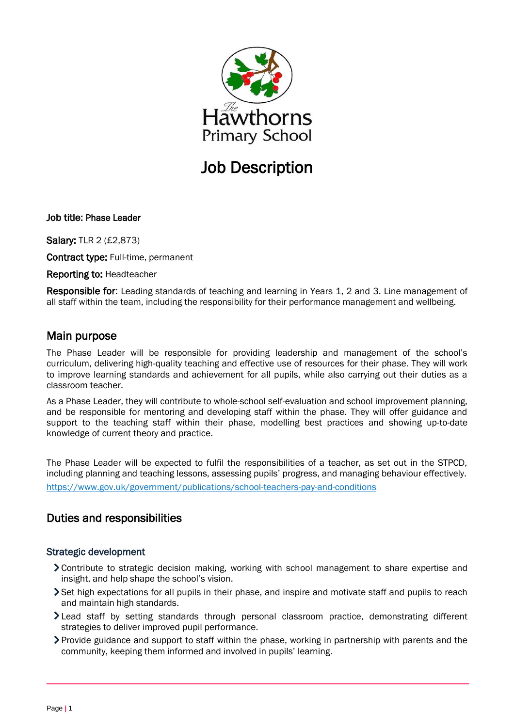

## Job Description

Job title: Phase Leader

Salary: TLR 2 (£2,873)

Contract type: Full-time, permanent

Reporting to: Headteacher

Responsible for: Leading standards of teaching and learning in Years 1, 2 and 3. Line management of all staff within the team, including the responsibility for their performance management and wellbeing.

### Main purpose

The Phase Leader will be responsible for providing leadership and management of the school's curriculum, delivering high-quality teaching and effective use of resources for their phase. They will work to improve learning standards and achievement for all pupils, while also carrying out their duties as a classroom teacher.

As a Phase Leader, they will contribute to whole-school self-evaluation and school improvement planning, and be responsible for mentoring and developing staff within the phase. They will offer guidance and support to the teaching staff within their phase, modelling best practices and showing up-to-date knowledge of current theory and practice.

The Phase Leader will be expected to fulfil the responsibilities of a teacher, as set out in the STPCD, including planning and teaching lessons, assessing pupils' progress, and managing behaviour effectively. <https://www.gov.uk/government/publications/school-teachers-pay-and-conditions>

## Duties and responsibilities

#### Strategic development

- Contribute to strategic decision making, working with school management to share expertise and insight, and help shape the school's vision.
- Set high expectations for all pupils in their phase, and inspire and motivate staff and pupils to reach and maintain high standards.
- Lead staff by setting standards through personal classroom practice, demonstrating different strategies to deliver improved pupil performance.
- Provide guidance and support to staff within the phase, working in partnership with parents and the community, keeping them informed and involved in pupils' learning.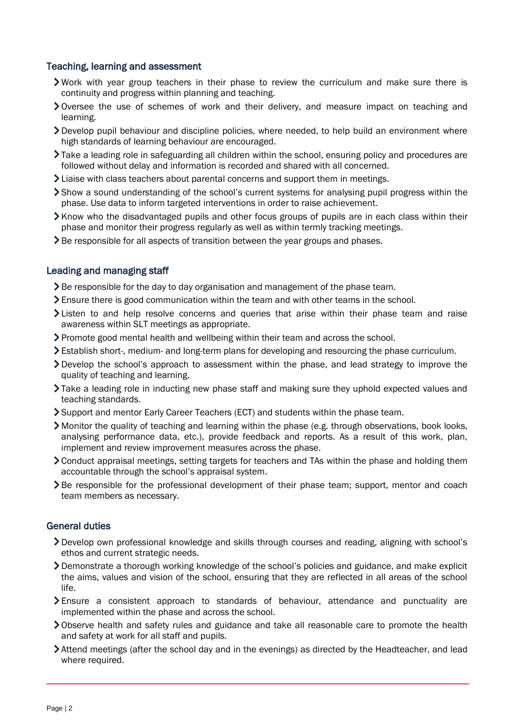#### Teaching, learning and assessment

- Work with year group teachers in their phase to review the curriculum and make sure there is continuity and progress within planning and teaching.
- Oversee the use of schemes of work and their delivery, and measure impact on teaching and learning.
- $\geq$  Develop pupil behaviour and discipline policies, where needed, to help build an environment where high standards of learning behaviour are encouraged.
- Take a leading role in safeguarding all children within the school, ensuring policy and procedures are followed without delay and information is recorded and shared with all concerned.
- $\blacktriangleright$  Liaise with class teachers about parental concerns and support them in meetings.
- Show a sound understanding of the school's current systems for analysing pupil progress within the phase. Use data to inform targeted interventions in order to raise achievement.
- $\blacktriangleright$  Know who the disadvantaged pupils and other focus groups of pupils are in each class within their phase and monitor their progress regularly as well as within termly tracking meetings.
- > Be responsible for all aspects of transition between the year groups and phases.

#### Leading and managing staff

- Subdelerriangleright For the day to day organisation and management of the phase team.
- Ensure there is good communication within the team and with other teams in the school.
- Listen to and help resolve concerns and queries that arise within their phase team and raise awareness within SLT meetings as appropriate.
- Promote good mental health and wellbeing within their team and across the school.
- Establish short-, medium- and long-term plans for developing and resourcing the phase curriculum.
- Develop the school's approach to assessment within the phase, and lead strategy to improve the quality of teaching and learning.
- Take a leading role in inducting new phase staff and making sure they uphold expected values and teaching standards.
- Support and mentor Early Career Teachers (ECT) and students within the phase team.
- Monitor the quality of teaching and learning within the phase (e.g. through observations, book looks, analysing performance data, etc.), provide feedback and reports. As a result of this work, plan, implement and review improvement measures across the phase.
- Conduct appraisal meetings, setting targets for teachers and TAs within the phase and holding them accountable through the school's appraisal system.
- Be responsible for the professional development of their phase team; support, mentor and coach team members as necessary.

#### General duties

- Develop own professional knowledge and skills through courses and reading, aligning with school's ethos and current strategic needs.
- Demonstrate a thorough working knowledge of the school's policies and guidance, and make explicit the aims, values and vision of the school, ensuring that they are reflected in all areas of the school life.
- $\sum$  Ensure a consistent approach to standards of behaviour, attendance and punctuality are implemented within the phase and across the school.
- Observe health and safety rules and guidance and take all reasonable care to promote the health and safety at work for all staff and pupils.
- Attend meetings (after the school day and in the evenings) as directed by the Headteacher, and lead where required.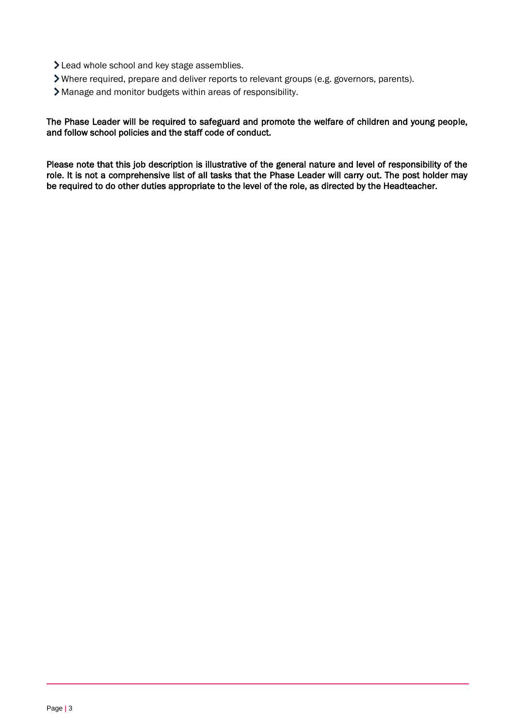- > Lead whole school and key stage assemblies.
- Where required, prepare and deliver reports to relevant groups (e.g. governors, parents).
- Manage and monitor budgets within areas of responsibility.

#### The Phase Leader will be required to safeguard and promote the welfare of children and young people, and follow school policies and the staff code of conduct.

Please note that this job description is illustrative of the general nature and level of responsibility of the role. It is not a comprehensive list of all tasks that the Phase Leader will carry out. The post holder may be required to do other duties appropriate to the level of the role, as directed by the Headteacher.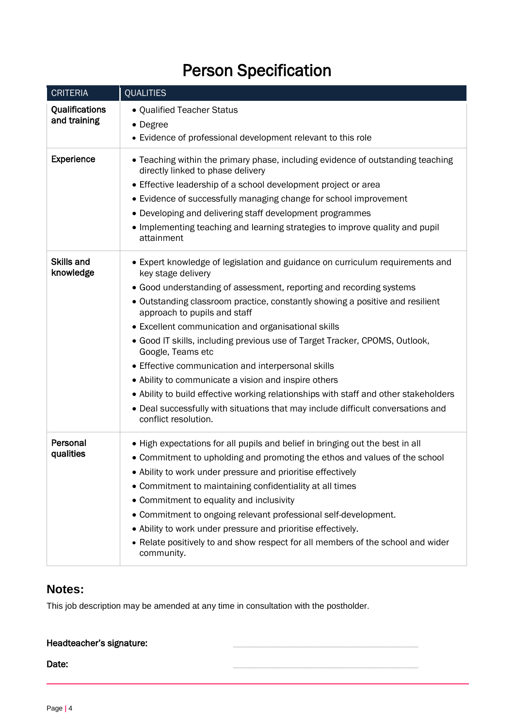# Person Specification

| <b>CRITERIA</b>                | <b>QUALITIES</b>                                                                                                                |
|--------------------------------|---------------------------------------------------------------------------------------------------------------------------------|
| Qualifications<br>and training | • Qualified Teacher Status                                                                                                      |
|                                | • Degree                                                                                                                        |
|                                | • Evidence of professional development relevant to this role                                                                    |
| Experience                     | • Teaching within the primary phase, including evidence of outstanding teaching<br>directly linked to phase delivery            |
|                                | • Effective leadership of a school development project or area                                                                  |
|                                | • Evidence of successfully managing change for school improvement                                                               |
|                                | • Developing and delivering staff development programmes                                                                        |
|                                | • Implementing teaching and learning strategies to improve quality and pupil<br>attainment                                      |
| <b>Skills and</b><br>knowledge | • Expert knowledge of legislation and guidance on curriculum requirements and<br>key stage delivery                             |
|                                | • Good understanding of assessment, reporting and recording systems                                                             |
|                                | • Outstanding classroom practice, constantly showing a positive and resilient<br>approach to pupils and staff                   |
|                                | • Excellent communication and organisational skills                                                                             |
|                                | • Good IT skills, including previous use of Target Tracker, CPOMS, Outlook,<br>Google, Teams etc                                |
|                                | • Effective communication and interpersonal skills                                                                              |
|                                | • Ability to communicate a vision and inspire others                                                                            |
|                                | . Ability to build effective working relationships with staff and other stakeholders                                            |
|                                | • Deal successfully with situations that may include difficult conversations and<br>conflict resolution.                        |
| Personal<br>qualities          | • High expectations for all pupils and belief in bringing out the best in all                                                   |
|                                | • Commitment to upholding and promoting the ethos and values of the school                                                      |
|                                | • Ability to work under pressure and prioritise effectively                                                                     |
|                                | • Commitment to maintaining confidentiality at all times                                                                        |
|                                | • Commitment to equality and inclusivity                                                                                        |
|                                | • Commitment to ongoing relevant professional self-development.<br>• Ability to work under pressure and prioritise effectively. |
|                                | • Relate positively to and show respect for all members of the school and wider                                                 |
|                                | community.                                                                                                                      |

## **Notes:**

This job description may be amended at any time in consultation with the postholder.

| Headteacher's signature: |  |
|--------------------------|--|
| Date:                    |  |